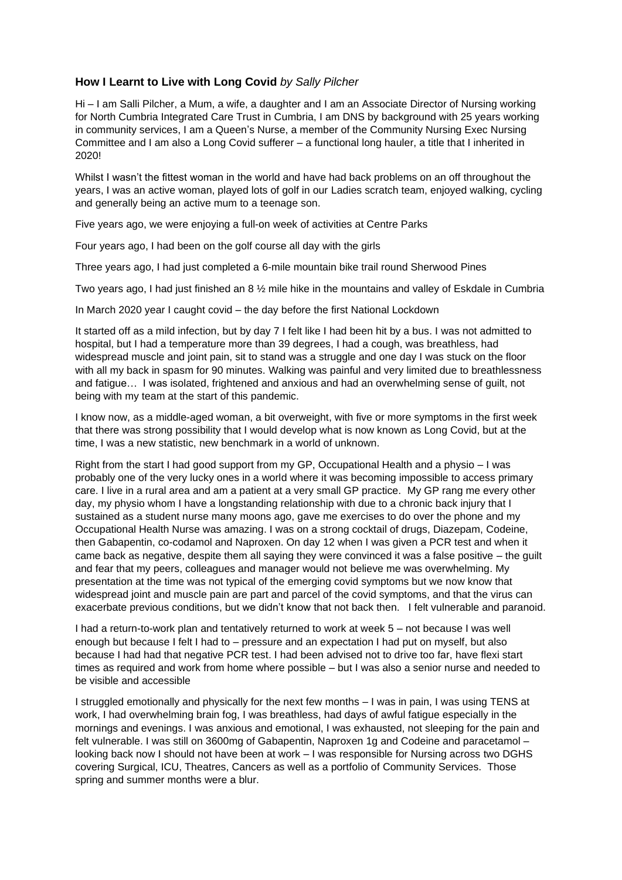## **How I Learnt to Live with Long Covid** *by Sally Pilcher*

Hi – I am Salli Pilcher, a Mum, a wife, a daughter and I am an Associate Director of Nursing working for North Cumbria Integrated Care Trust in Cumbria, I am DNS by background with 25 years working in community services, I am a Queen's Nurse, a member of the Community Nursing Exec Nursing Committee and I am also a Long Covid sufferer – a functional long hauler, a title that I inherited in 2020!

Whilst I wasn't the fittest woman in the world and have had back problems on an off throughout the years, I was an active woman, played lots of golf in our Ladies scratch team, enjoyed walking, cycling and generally being an active mum to a teenage son.

Five years ago, we were enjoying a full-on week of activities at Centre Parks

Four years ago, I had been on the golf course all day with the girls

Three years ago, I had just completed a 6-mile mountain bike trail round Sherwood Pines

Two years ago, I had just finished an 8 ½ mile hike in the mountains and valley of Eskdale in Cumbria

In March 2020 year I caught covid – the day before the first National Lockdown

It started off as a mild infection, but by day 7 I felt like I had been hit by a bus. I was not admitted to hospital, but I had a temperature more than 39 degrees, I had a cough, was breathless, had widespread muscle and joint pain, sit to stand was a struggle and one day I was stuck on the floor with all my back in spasm for 90 minutes. Walking was painful and very limited due to breathlessness and fatigue… I was isolated, frightened and anxious and had an overwhelming sense of guilt, not being with my team at the start of this pandemic.

I know now, as a middle-aged woman, a bit overweight, with five or more symptoms in the first week that there was strong possibility that I would develop what is now known as Long Covid, but at the time, I was a new statistic, new benchmark in a world of unknown.

Right from the start I had good support from my GP, Occupational Health and a physio – I was probably one of the very lucky ones in a world where it was becoming impossible to access primary care. I live in a rural area and am a patient at a very small GP practice. My GP rang me every other day, my physio whom I have a longstanding relationship with due to a chronic back injury that I sustained as a student nurse many moons ago, gave me exercises to do over the phone and my Occupational Health Nurse was amazing. I was on a strong cocktail of drugs, Diazepam, Codeine, then Gabapentin, co-codamol and Naproxen. On day 12 when I was given a PCR test and when it came back as negative, despite them all saying they were convinced it was a false positive – the guilt and fear that my peers, colleagues and manager would not believe me was overwhelming. My presentation at the time was not typical of the emerging covid symptoms but we now know that widespread joint and muscle pain are part and parcel of the covid symptoms, and that the virus can exacerbate previous conditions, but we didn't know that not back then. I felt vulnerable and paranoid.

I had a return-to-work plan and tentatively returned to work at week 5 – not because I was well enough but because I felt I had to – pressure and an expectation I had put on myself, but also because I had had that negative PCR test. I had been advised not to drive too far, have flexi start times as required and work from home where possible – but I was also a senior nurse and needed to be visible and accessible

I struggled emotionally and physically for the next few months – I was in pain, I was using TENS at work, I had overwhelming brain fog, I was breathless, had days of awful fatigue especially in the mornings and evenings. I was anxious and emotional, I was exhausted, not sleeping for the pain and felt vulnerable. I was still on 3600mg of Gabapentin, Naproxen 1g and Codeine and paracetamol – looking back now I should not have been at work – I was responsible for Nursing across two DGHS covering Surgical, ICU, Theatres, Cancers as well as a portfolio of Community Services. Those spring and summer months were a blur.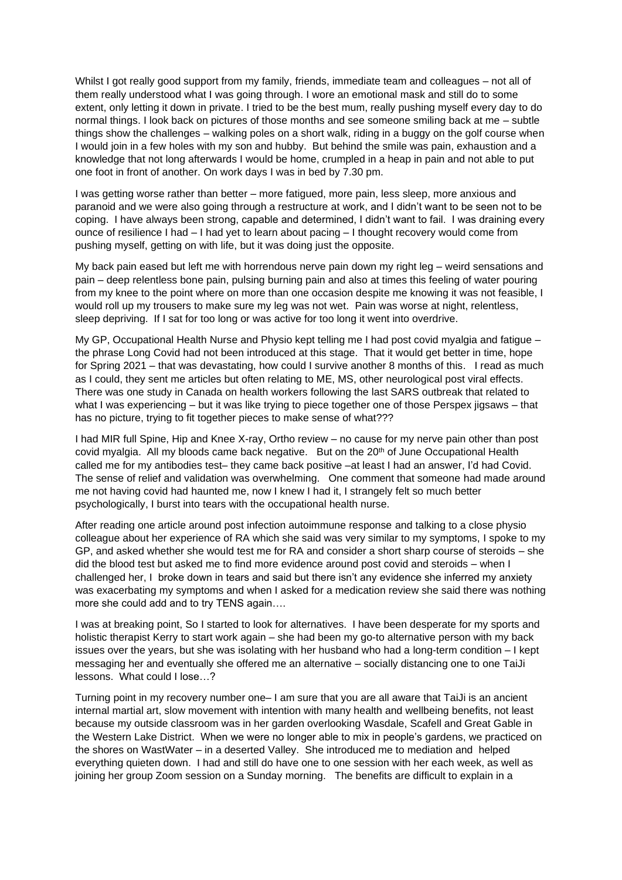Whilst I got really good support from my family, friends, immediate team and colleagues – not all of them really understood what I was going through. I wore an emotional mask and still do to some extent, only letting it down in private. I tried to be the best mum, really pushing myself every day to do normal things. I look back on pictures of those months and see someone smiling back at me – subtle things show the challenges – walking poles on a short walk, riding in a buggy on the golf course when I would join in a few holes with my son and hubby. But behind the smile was pain, exhaustion and a knowledge that not long afterwards I would be home, crumpled in a heap in pain and not able to put one foot in front of another. On work days I was in bed by 7.30 pm.

I was getting worse rather than better – more fatigued, more pain, less sleep, more anxious and paranoid and we were also going through a restructure at work, and I didn't want to be seen not to be coping. I have always been strong, capable and determined, I didn't want to fail. I was draining every ounce of resilience I had – I had yet to learn about pacing – I thought recovery would come from pushing myself, getting on with life, but it was doing just the opposite.

My back pain eased but left me with horrendous nerve pain down my right leg – weird sensations and pain – deep relentless bone pain, pulsing burning pain and also at times this feeling of water pouring from my knee to the point where on more than one occasion despite me knowing it was not feasible, I would roll up my trousers to make sure my leg was not wet. Pain was worse at night, relentless, sleep depriving. If I sat for too long or was active for too long it went into overdrive.

My GP, Occupational Health Nurse and Physio kept telling me I had post covid myalgia and fatigue – the phrase Long Covid had not been introduced at this stage. That it would get better in time, hope for Spring 2021 – that was devastating, how could I survive another 8 months of this. I read as much as I could, they sent me articles but often relating to ME, MS, other neurological post viral effects. There was one study in Canada on health workers following the last SARS outbreak that related to what I was experiencing – but it was like trying to piece together one of those Perspex jigsaws – that has no picture, trying to fit together pieces to make sense of what???

I had MIR full Spine, Hip and Knee X-ray, Ortho review – no cause for my nerve pain other than post covid myalgia. All my bloods came back negative. But on the  $20<sup>th</sup>$  of June Occupational Health called me for my antibodies test– they came back positive –at least I had an answer, I'd had Covid. The sense of relief and validation was overwhelming. One comment that someone had made around me not having covid had haunted me, now I knew I had it, I strangely felt so much better psychologically, I burst into tears with the occupational health nurse.

After reading one article around post infection autoimmune response and talking to a close physio colleague about her experience of RA which she said was very similar to my symptoms, I spoke to my GP, and asked whether she would test me for RA and consider a short sharp course of steroids – she did the blood test but asked me to find more evidence around post covid and steroids – when I challenged her, I broke down in tears and said but there isn't any evidence she inferred my anxiety was exacerbating my symptoms and when I asked for a medication review she said there was nothing more she could add and to try TENS again….

I was at breaking point, So I started to look for alternatives. I have been desperate for my sports and holistic therapist Kerry to start work again – she had been my go-to alternative person with my back issues over the years, but she was isolating with her husband who had a long-term condition – I kept messaging her and eventually she offered me an alternative – socially distancing one to one TaiJi lessons. What could I lose…?

Turning point in my recovery number one– I am sure that you are all aware that TaiJi is an ancient internal martial art, slow movement with intention with many health and wellbeing benefits, not least because my outside classroom was in her garden overlooking Wasdale, Scafell and Great Gable in the Western Lake District. When we were no longer able to mix in people's gardens, we practiced on the shores on WastWater – in a deserted Valley. She introduced me to mediation and helped everything quieten down. I had and still do have one to one session with her each week, as well as joining her group Zoom session on a Sunday morning. The benefits are difficult to explain in a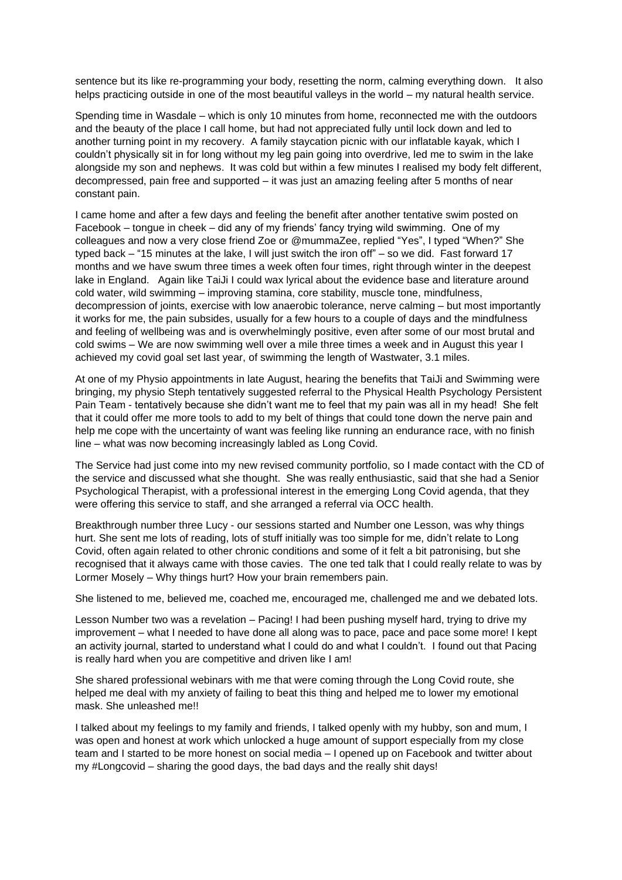sentence but its like re-programming your body, resetting the norm, calming everything down. It also helps practicing outside in one of the most beautiful valleys in the world – my natural health service.

Spending time in Wasdale – which is only 10 minutes from home, reconnected me with the outdoors and the beauty of the place I call home, but had not appreciated fully until lock down and led to another turning point in my recovery. A family staycation picnic with our inflatable kayak, which I couldn't physically sit in for long without my leg pain going into overdrive, led me to swim in the lake alongside my son and nephews. It was cold but within a few minutes I realised my body felt different, decompressed, pain free and supported – it was just an amazing feeling after 5 months of near constant pain.

I came home and after a few days and feeling the benefit after another tentative swim posted on Facebook – tongue in cheek – did any of my friends' fancy trying wild swimming. One of my colleagues and now a very close friend Zoe or @mummaZee, replied "Yes", I typed "When?" She typed back – "15 minutes at the lake, I will just switch the iron off" – so we did. Fast forward 17 months and we have swum three times a week often four times, right through winter in the deepest lake in England. Again like TaiJi I could wax lyrical about the evidence base and literature around cold water, wild swimming – improving stamina, core stability, muscle tone, mindfulness, decompression of joints, exercise with low anaerobic tolerance, nerve calming – but most importantly it works for me, the pain subsides, usually for a few hours to a couple of days and the mindfulness and feeling of wellbeing was and is overwhelmingly positive, even after some of our most brutal and cold swims – We are now swimming well over a mile three times a week and in August this year I achieved my covid goal set last year, of swimming the length of Wastwater, 3.1 miles.

At one of my Physio appointments in late August, hearing the benefits that TaiJi and Swimming were bringing, my physio Steph tentatively suggested referral to the Physical Health Psychology Persistent Pain Team - tentatively because she didn't want me to feel that my pain was all in my head! She felt that it could offer me more tools to add to my belt of things that could tone down the nerve pain and help me cope with the uncertainty of want was feeling like running an endurance race, with no finish line – what was now becoming increasingly labled as Long Covid.

The Service had just come into my new revised community portfolio, so I made contact with the CD of the service and discussed what she thought. She was really enthusiastic, said that she had a Senior Psychological Therapist, with a professional interest in the emerging Long Covid agenda, that they were offering this service to staff, and she arranged a referral via OCC health.

Breakthrough number three Lucy - our sessions started and Number one Lesson, was why things hurt. She sent me lots of reading, lots of stuff initially was too simple for me, didn't relate to Long Covid, often again related to other chronic conditions and some of it felt a bit patronising, but she recognised that it always came with those cavies. The one ted talk that I could really relate to was by Lormer Mosely – Why things hurt? How your brain remembers pain.

She listened to me, believed me, coached me, encouraged me, challenged me and we debated lots.

Lesson Number two was a revelation – Pacing! I had been pushing myself hard, trying to drive my improvement – what I needed to have done all along was to pace, pace and pace some more! I kept an activity journal, started to understand what I could do and what I couldn't. I found out that Pacing is really hard when you are competitive and driven like I am!

She shared professional webinars with me that were coming through the Long Covid route, she helped me deal with my anxiety of failing to beat this thing and helped me to lower my emotional mask. She unleashed me!!

I talked about my feelings to my family and friends, I talked openly with my hubby, son and mum, I was open and honest at work which unlocked a huge amount of support especially from my close team and I started to be more honest on social media – I opened up on Facebook and twitter about my #Longcovid – sharing the good days, the bad days and the really shit days!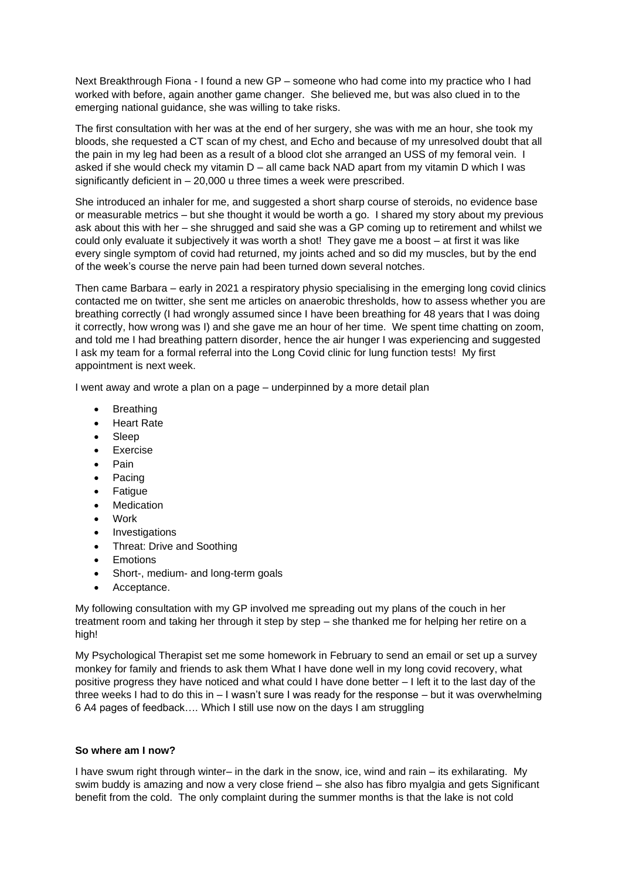Next Breakthrough Fiona - I found a new GP – someone who had come into my practice who I had worked with before, again another game changer. She believed me, but was also clued in to the emerging national guidance, she was willing to take risks.

The first consultation with her was at the end of her surgery, she was with me an hour, she took my bloods, she requested a CT scan of my chest, and Echo and because of my unresolved doubt that all the pain in my leg had been as a result of a blood clot she arranged an USS of my femoral vein. I asked if she would check my vitamin D – all came back NAD apart from my vitamin D which I was significantly deficient in – 20,000 u three times a week were prescribed.

She introduced an inhaler for me, and suggested a short sharp course of steroids, no evidence base or measurable metrics – but she thought it would be worth a go. I shared my story about my previous ask about this with her – she shrugged and said she was a GP coming up to retirement and whilst we could only evaluate it subjectively it was worth a shot! They gave me a boost – at first it was like every single symptom of covid had returned, my joints ached and so did my muscles, but by the end of the week's course the nerve pain had been turned down several notches.

Then came Barbara – early in 2021 a respiratory physio specialising in the emerging long covid clinics contacted me on twitter, she sent me articles on anaerobic thresholds, how to assess whether you are breathing correctly (I had wrongly assumed since I have been breathing for 48 years that I was doing it correctly, how wrong was I) and she gave me an hour of her time. We spent time chatting on zoom, and told me I had breathing pattern disorder, hence the air hunger I was experiencing and suggested I ask my team for a formal referral into the Long Covid clinic for lung function tests! My first appointment is next week.

I went away and wrote a plan on a page – underpinned by a more detail plan

- Breathing
- Heart Rate
- Sleep
- Exercise
- Pain
- Pacing
- **Fatigue**
- **Medication**
- Work
- Investigations
- Threat: Drive and Soothing
- **Emotions**
- Short-, medium- and long-term goals
- Acceptance.

My following consultation with my GP involved me spreading out my plans of the couch in her treatment room and taking her through it step by step – she thanked me for helping her retire on a high!

My Psychological Therapist set me some homework in February to send an email or set up a survey monkey for family and friends to ask them What I have done well in my long covid recovery, what positive progress they have noticed and what could I have done better – I left it to the last day of the three weeks I had to do this in – I wasn't sure I was ready for the response – but it was overwhelming 6 A4 pages of feedback…. Which I still use now on the days I am struggling

## **So where am I now?**

I have swum right through winter– in the dark in the snow, ice, wind and rain – its exhilarating. My swim buddy is amazing and now a very close friend – she also has fibro myalgia and gets Significant benefit from the cold. The only complaint during the summer months is that the lake is not cold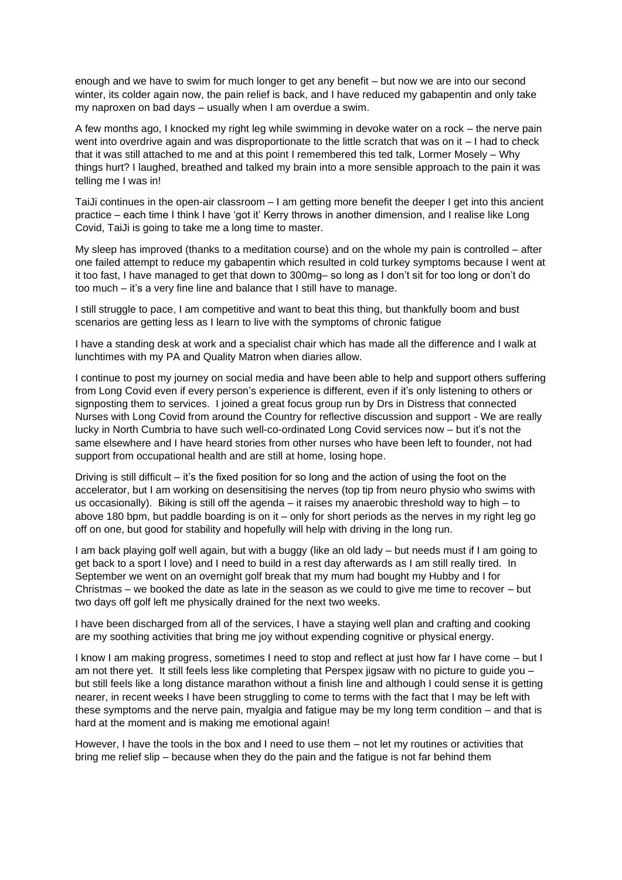enough and we have to swim for much longer to get any benefit – but now we are into our second winter, its colder again now, the pain relief is back, and I have reduced my gabapentin and only take my naproxen on bad days – usually when I am overdue a swim.

A few months ago, I knocked my right leg while swimming in devoke water on a rock – the nerve pain went into overdrive again and was disproportionate to the little scratch that was on it – I had to check that it was still attached to me and at this point I remembered this ted talk, Lormer Mosely – Why things hurt? I laughed, breathed and talked my brain into a more sensible approach to the pain it was telling me I was in!

TaiJi continues in the open-air classroom – I am getting more benefit the deeper I get into this ancient practice – each time I think I have 'got it' Kerry throws in another dimension, and I realise like Long Covid, TaiJi is going to take me a long time to master.

My sleep has improved (thanks to a meditation course) and on the whole my pain is controlled – after one failed attempt to reduce my gabapentin which resulted in cold turkey symptoms because I went at it too fast, I have managed to get that down to 300mg– so long as I don't sit for too long or don't do too much – it's a very fine line and balance that I still have to manage.

I still struggle to pace, I am competitive and want to beat this thing, but thankfully boom and bust scenarios are getting less as I learn to live with the symptoms of chronic fatigue

I have a standing desk at work and a specialist chair which has made all the difference and I walk at lunchtimes with my PA and Quality Matron when diaries allow.

I continue to post my journey on social media and have been able to help and support others suffering from Long Covid even if every person's experience is different, even if it's only listening to others or signposting them to services. I joined a great focus group run by Drs in Distress that connected Nurses with Long Covid from around the Country for reflective discussion and support - We are really lucky in North Cumbria to have such well-co-ordinated Long Covid services now – but it's not the same elsewhere and I have heard stories from other nurses who have been left to founder, not had support from occupational health and are still at home, losing hope.

Driving is still difficult – it's the fixed position for so long and the action of using the foot on the accelerator, but I am working on desensitising the nerves (top tip from neuro physio who swims with us occasionally). Biking is still off the agenda – it raises my anaerobic threshold way to high – to above 180 bpm, but paddle boarding is on it – only for short periods as the nerves in my right leg go off on one, but good for stability and hopefully will help with driving in the long run.

I am back playing golf well again, but with a buggy (like an old lady – but needs must if I am going to get back to a sport I love) and I need to build in a rest day afterwards as I am still really tired. In September we went on an overnight golf break that my mum had bought my Hubby and I for Christmas – we booked the date as late in the season as we could to give me time to recover – but two days off golf left me physically drained for the next two weeks.

I have been discharged from all of the services, I have a staying well plan and crafting and cooking are my soothing activities that bring me joy without expending cognitive or physical energy.

I know I am making progress, sometimes I need to stop and reflect at just how far I have come – but I am not there yet. It still feels less like completing that Perspex jigsaw with no picture to guide you – but still feels like a long distance marathon without a finish line and although I could sense it is getting nearer, in recent weeks I have been struggling to come to terms with the fact that I may be left with these symptoms and the nerve pain, myalgia and fatigue may be my long term condition – and that is hard at the moment and is making me emotional again!

However, I have the tools in the box and I need to use them – not let my routines or activities that bring me relief slip – because when they do the pain and the fatigue is not far behind them